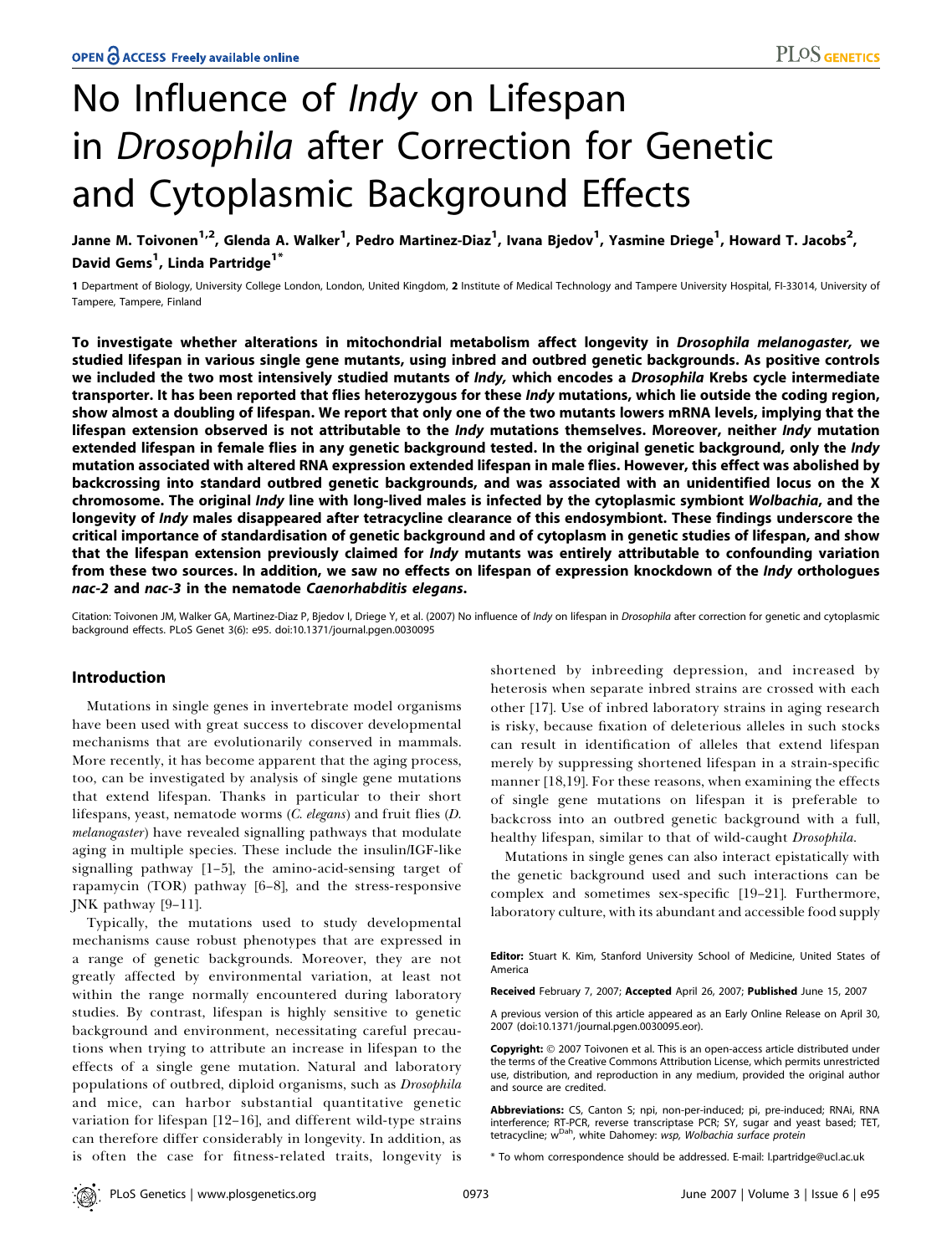# No Influence of *Indy* on Lifespan in Drosophila after Correction for Genetic and Cytoplasmic Background Effects

Janne M. Toivonen<sup>1,2</sup>, Glenda A. Walker<sup>1</sup>, Pedro Martinez-Diaz<sup>1</sup>, Ivana Bjedov<sup>1</sup>, Yasmine Driege<sup>1</sup>, Howard T. Jacobs<sup>2</sup>, David Gems<sup>1</sup>, Linda Partridge<sup>1\*</sup>

1 Department of Biology, University College London, London, United Kingdom, 2 Institute of Medical Technology and Tampere University Hospital, FI-33014, University of Tampere, Tampere, Finland

To investigate whether alterations in mitochondrial metabolism affect longevity in Drosophila melanogaster, we studied lifespan in various single gene mutants, using inbred and outbred genetic backgrounds. As positive controls we included the two most intensively studied mutants of Indy, which encodes a Drosophila Krebs cycle intermediate transporter. It has been reported that flies heterozygous for these *Indy* mutations, which lie outside the coding region, show almost a doubling of lifespan. We report that only one of the two mutants lowers mRNA levels, implying that the lifespan extension observed is not attributable to the *Indy* mutations themselves. Moreover, neither *Indy* mutation extended lifespan in female flies in any genetic background tested. In the original genetic background, only the *Indy* mutation associated with altered RNA expression extended lifespan in male flies. However, this effect was abolished by backcrossing into standard outbred genetic backgrounds, and was associated with an unidentified locus on the X chromosome. The original Indy line with long-lived males is infected by the cytoplasmic symbiont Wolbachia, and the longevity of Indy males disappeared after tetracycline clearance of this endosymbiont. These findings underscore the critical importance of standardisation of genetic background and of cytoplasm in genetic studies of lifespan, and show that the lifespan extension previously claimed for *Indy* mutants was entirely attributable to confounding variation from these two sources. In addition, we saw no effects on lifespan of expression knockdown of the Indy orthologues nac-2 and nac-3 in the nematode Caenorhabditis elegans.

Citation: Toivonen JM, Walker GA, Martinez-Diaz P, Bjedov I, Driege Y, et al. (2007) No influence of Indy on lifespan in Drosophila after correction for genetic and cytoplasmic background effects. PLoS Genet 3(6): e95. doi:10.1371/journal.pgen.0030095

# Introduction

Mutations in single genes in invertebrate model organisms have been used with great success to discover developmental mechanisms that are evolutionarily conserved in mammals. More recently, it has become apparent that the aging process, too, can be investigated by analysis of single gene mutations that extend lifespan. Thanks in particular to their short lifespans, yeast, nematode worms (C. elegans) and fruit flies (D. melanogaster) have revealed signalling pathways that modulate aging in multiple species. These include the insulin/IGF-like signalling pathway [1–5], the amino-acid-sensing target of rapamycin (TOR) pathway [6–8], and the stress-responsive JNK pathway [9–11].

Typically, the mutations used to study developmental mechanisms cause robust phenotypes that are expressed in a range of genetic backgrounds. Moreover, they are not greatly affected by environmental variation, at least not within the range normally encountered during laboratory studies. By contrast, lifespan is highly sensitive to genetic background and environment, necessitating careful precautions when trying to attribute an increase in lifespan to the effects of a single gene mutation. Natural and laboratory populations of outbred, diploid organisms, such as Drosophila and mice, can harbor substantial quantitative genetic variation for lifespan [12–16], and different wild-type strains can therefore differ considerably in longevity. In addition, as is often the case for fitness-related traits, longevity is shortened by inbreeding depression, and increased by heterosis when separate inbred strains are crossed with each other [17]. Use of inbred laboratory strains in aging research is risky, because fixation of deleterious alleles in such stocks can result in identification of alleles that extend lifespan merely by suppressing shortened lifespan in a strain-specific manner [18,19]. For these reasons, when examining the effects of single gene mutations on lifespan it is preferable to backcross into an outbred genetic background with a full, healthy lifespan, similar to that of wild-caught Drosophila.

Mutations in single genes can also interact epistatically with the genetic background used and such interactions can be complex and sometimes sex-specific [19–21]. Furthermore, laboratory culture, with its abundant and accessible food supply

Editor: Stuart K. Kim, Stanford University School of Medicine, United States of America

Received February 7, 2007; Accepted April 26, 2007; Published June 15, 2007

A previous version of this article appeared as an Early Online Release on April 30, 2007 (doi:10.1371/journal.pgen.0030095.eor).

Copyright: © 2007 Toivonen et al. This is an open-access article distributed under the terms of the Creative Commons Attribution License, which permits unrestricted use, distribution, and reproduction in any medium, provided the original author and source are credited.

Abbreviations: CS, Canton S; npi, non-per-induced; pi, pre-induced; RNAi, RNA interference; RT-PCR, reverse transcriptase PCR; SY, sugar and yeast based; TET, tetracycline; wDah, white Dahomey: wsp, Wolbachia surface protein

\* To whom correspondence should be addressed. E-mail: l.partridge@ucl.ac.uk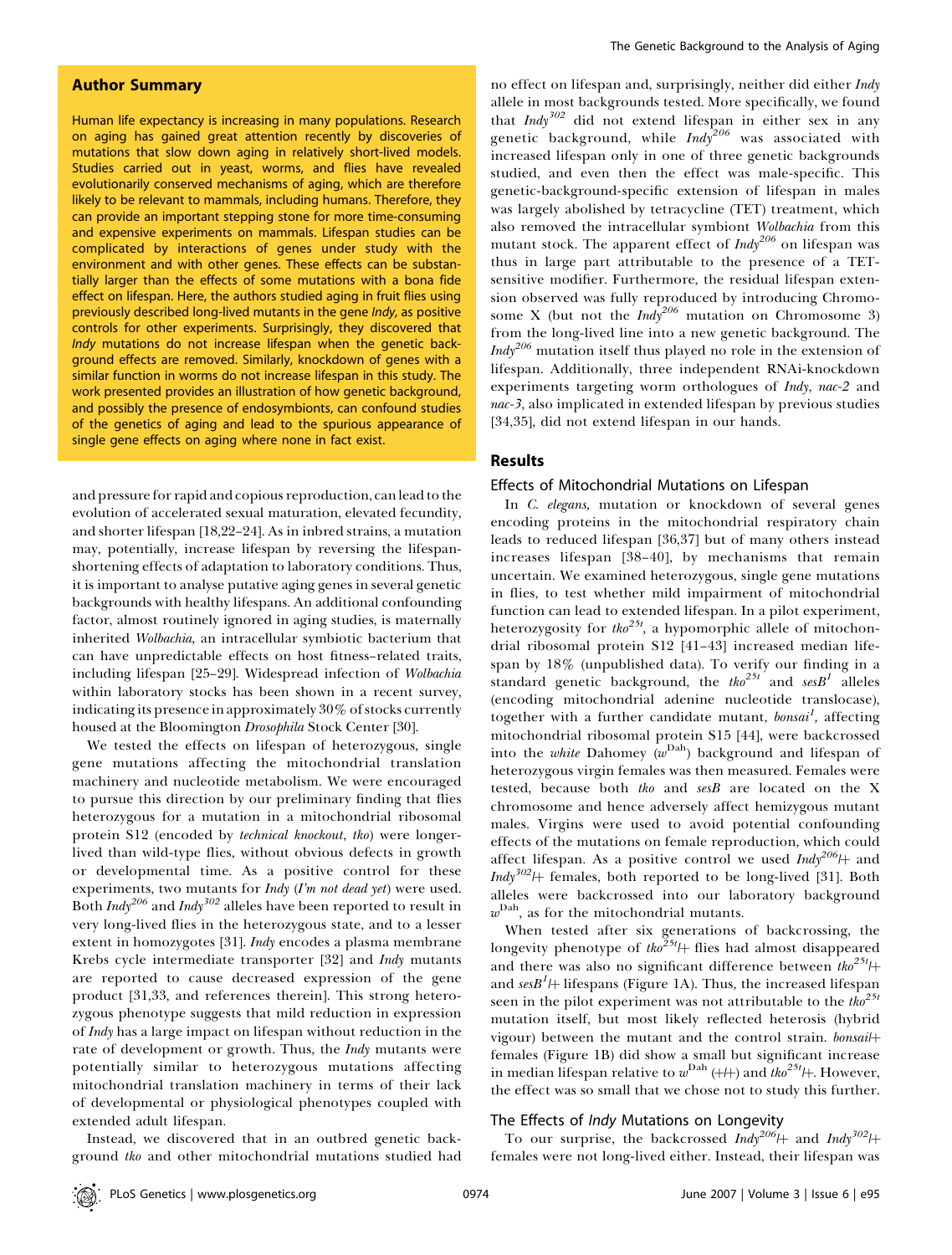# Author Summary

Human life expectancy is increasing in many populations. Research on aging has gained great attention recently by discoveries of mutations that slow down aging in relatively short-lived models. Studies carried out in yeast, worms, and flies have revealed evolutionarily conserved mechanisms of aging, which are therefore likely to be relevant to mammals, including humans. Therefore, they can provide an important stepping stone for more time-consuming and expensive experiments on mammals. Lifespan studies can be complicated by interactions of genes under study with the environment and with other genes. These effects can be substantially larger than the effects of some mutations with a bona fide effect on lifespan. Here, the authors studied aging in fruit flies using previously described long-lived mutants in the gene Indy, as positive controls for other experiments. Surprisingly, they discovered that Indy mutations do not increase lifespan when the genetic background effects are removed. Similarly, knockdown of genes with a similar function in worms do not increase lifespan in this study. The work presented provides an illustration of how genetic background, and possibly the presence of endosymbionts, can confound studies of the genetics of aging and lead to the spurious appearance of single gene effects on aging where none in fact exist.

and pressure for rapid and copious reproduction, can lead to the evolution of accelerated sexual maturation, elevated fecundity, and shorter lifespan [18,22–24]. As in inbred strains, a mutation may, potentially, increase lifespan by reversing the lifespanshortening effects of adaptation to laboratory conditions. Thus, it is important to analyse putative aging genes in several genetic backgrounds with healthy lifespans. An additional confounding factor, almost routinely ignored in aging studies, is maternally inherited Wolbachia, an intracellular symbiotic bacterium that can have unpredictable effects on host fitness–related traits, including lifespan [25–29]. Widespread infection of Wolbachia within laboratory stocks has been shown in a recent survey, indicating its presence in approximately 30% of stocks currently housed at the Bloomington Drosophila Stock Center [30].

We tested the effects on lifespan of heterozygous, single gene mutations affecting the mitochondrial translation machinery and nucleotide metabolism. We were encouraged to pursue this direction by our preliminary finding that flies heterozygous for a mutation in a mitochondrial ribosomal protein S12 (encoded by technical knockout, tko) were longerlived than wild-type flies, without obvious defects in growth or developmental time. As a positive control for these experiments, two mutants for Indy (I'm not dead yet) were used. Both  $\text{Indy}^{206}$  and  $\text{Indy}^{302}$  alleles have been reported to result in very long-lived flies in the heterozygous state, and to a lesser extent in homozygotes [31]. *Indy* encodes a plasma membrane Krebs cycle intermediate transporter [32] and Indy mutants are reported to cause decreased expression of the gene product [31,33, and references therein]. This strong heterozygous phenotype suggests that mild reduction in expression of Indy has a large impact on lifespan without reduction in the rate of development or growth. Thus, the *Indy* mutants were potentially similar to heterozygous mutations affecting mitochondrial translation machinery in terms of their lack of developmental or physiological phenotypes coupled with extended adult lifespan.

Instead, we discovered that in an outbred genetic background tko and other mitochondrial mutations studied had

no effect on lifespan and, surprisingly, neither did either Indy allele in most backgrounds tested. More specifically, we found that  $Indy^{302}$  did not extend lifespan in either sex in any genetic background, while  $Indy^{206}$  was associated with increased lifespan only in one of three genetic backgrounds studied, and even then the effect was male-specific. This genetic-background-specific extension of lifespan in males was largely abolished by tetracycline (TET) treatment, which also removed the intracellular symbiont Wolbachia from this mutant stock. The apparent effect of  $\text{Indy}^{206}$  on lifespan was thus in large part attributable to the presence of a TETsensitive modifier. Furthermore, the residual lifespan extension observed was fully reproduced by introducing Chromosome X (but not the  $Indy^{206}$  mutation on Chromosome 3) from the long-lived line into a new genetic background. The *Indy*<sup>206</sup> mutation itself thus played no role in the extension of lifespan. Additionally, three independent RNAi-knockdown experiments targeting worm orthologues of Indy, nac-2 and nac-3, also implicated in extended lifespan by previous studies [34,35], did not extend lifespan in our hands.

# Results

#### Effects of Mitochondrial Mutations on Lifespan

In C. elegans, mutation or knockdown of several genes encoding proteins in the mitochondrial respiratory chain leads to reduced lifespan [36,37] but of many others instead increases lifespan [38–40], by mechanisms that remain uncertain. We examined heterozygous, single gene mutations in flies, to test whether mild impairment of mitochondrial function can lead to extended lifespan. In a pilot experiment, heterozygosity for  $tko^{25t}$ , a hypomorphic allele of mitochondrial ribosomal protein S12 [41–43] increased median lifespan by 18% (unpublished data). To verify our finding in a standard genetic background, the tho<sup>25t</sup> and sesB<sup>1</sup> alleles (encoding mitochondrial adenine nucleotide translocase), together with a further candidate mutant, bonsai<sup>1</sup>, affecting mitochondrial ribosomal protein S15 [44], were backcrossed into the *white* Dahomey ( $w<sup>Dah</sup>$ ) background and lifespan of heterozygous virgin females was then measured. Females were tested, because both tko and sesB are located on the X chromosome and hence adversely affect hemizygous mutant males. Virgins were used to avoid potential confounding effects of the mutations on female reproduction, which could affect lifespan. As a positive control we used  $\text{Indy}^{206}$  + and  $Indy^{302}$  females, both reported to be long-lived [31]. Both alleles were backcrossed into our laboratory background  $w^{\text{Dah}}$ , as for the mitochondrial mutants.

When tested after six generations of backcrossing, the longevity phenotype of  $t \omega^{25t}$  flies had almost disappeared and there was also no significant difference between  $t \kappa_0^{25t}$  |+ and ses $B^I$ H lifespans (Figure 1A). Thus, the increased lifespan seen in the pilot experiment was not attributable to the  $the^{25t}$ mutation itself, but most likely reflected heterosis (hybrid vigour) between the mutant and the control strain. bonsail+ females (Figure 1B) did show a small but significant increase in median lifespan relative to  $w^{\text{Dah}}$  (+/+) and  $the^{25t}$ /+. However, the effect was so small that we chose not to study this further.

### The Effects of *Indy* Mutations on Longevity

To our surprise, the backcrossed Indy<sup>206</sup>/ $\frac{1}{2}$  and Indy<sup>302</sup>/ $\frac{1}{2}$ females were not long-lived either. Instead, their lifespan was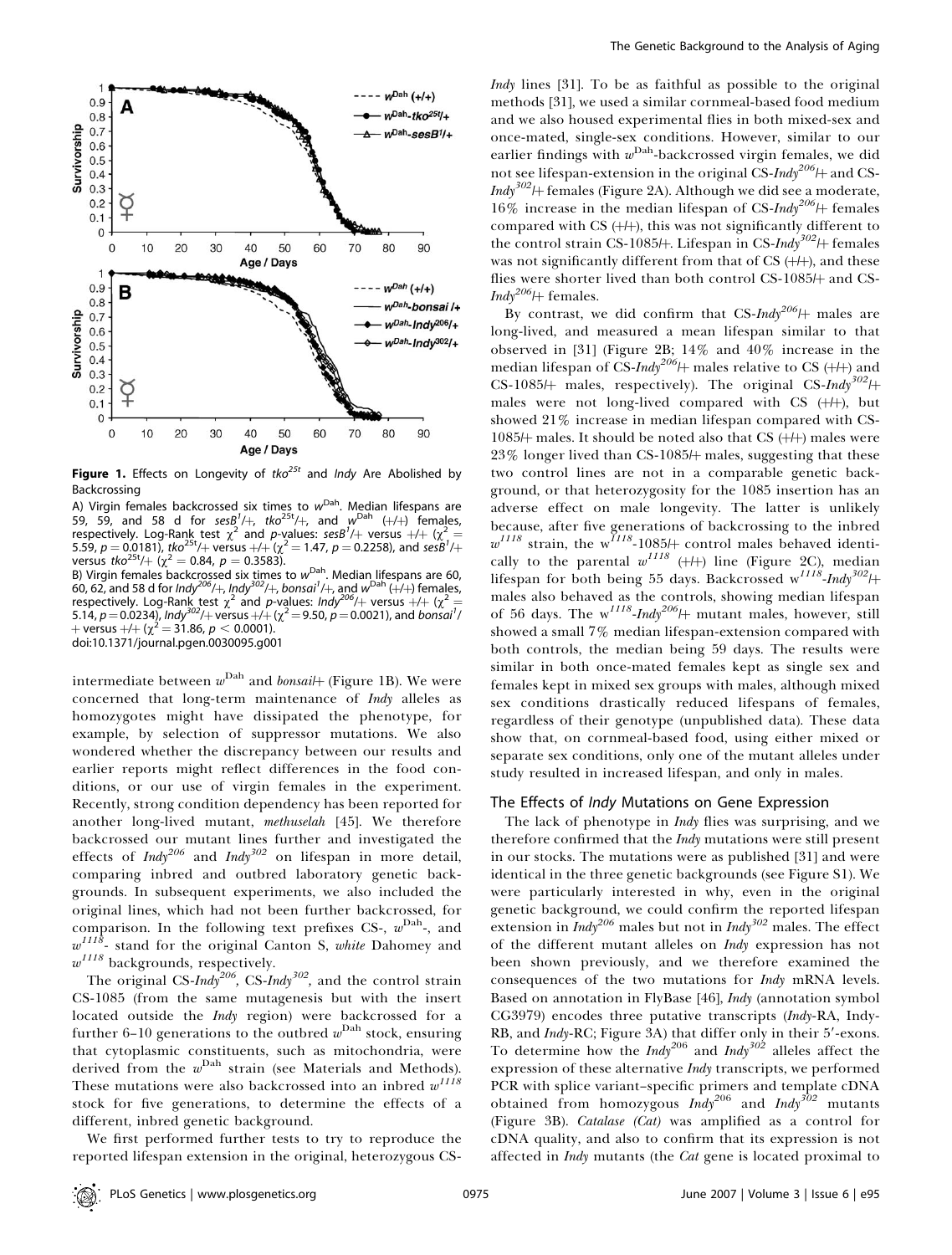

**Figure 1.** Effects on Longevity of tko<sup>25t</sup> and *Indy* Are Abolished by Backcrossing

A) Virgin females backcrossed six times to  $w<sup>Dah</sup>$ . Median lifespans are 59, 59, and 58 d for ses $B^1$ /+, tko<sup>25t</sup>/+, and  $w^{\text{Dah}}$  (+/+) females, respectively. Log-Rank test  $\chi^2$  and p-values: sesB<sup>1</sup>/+ versus +/+ ( $\chi^2$  = 5.59,  $p = 0.0181$ ), tko<sup>25t</sup>/+ versus  $+/+\left(\chi^2 = 1.47, p = 0.2258\right)$ , and sesB<sup>1</sup>/+ versus tko<sup>25t</sup>/+ ( $\chi^2$  = 0.84, p = 0.3583). B) Virgin females backcrossed six times to w<sup>Dah</sup>. Median lifespans are 60, 60, 62, and 58 d for Indy<sup>206</sup>/+, Indy<sup>302</sup>/+, bonsai<sup>1</sup>/+, and w<sup>Dah</sup> (+/+) females, respectively. Log-Rank test  $\chi^2$  and p-values: Indy<sup>206</sup>/+ versus +/+ ( $\chi^2$ 

5.14,  $p = 0.0234$ ), Indy<sup>302</sup>/+ versus +/+ ( $\chi^2$  = 9.50,  $p$  = 0.0021), and bonsai<sup>1</sup>/ + versus  $+/$ + ( $\chi^2$  = 31.86,  $p < 0.0001$ ). doi:10.1371/journal.pgen.0030095.g001

intermediate between  $w^{\text{Dah}}$  and *bonsai*  $\text{[Figure 1B)}.$  We were concerned that long-term maintenance of Indy alleles as homozygotes might have dissipated the phenotype, for example, by selection of suppressor mutations. We also wondered whether the discrepancy between our results and earlier reports might reflect differences in the food conditions, or our use of virgin females in the experiment. Recently, strong condition dependency has been reported for another long-lived mutant, methuselah [45]. We therefore backcrossed our mutant lines further and investigated the effects of Indy<sup>206</sup> and Indy<sup>302</sup> on lifespan in more detail, comparing inbred and outbred laboratory genetic backgrounds. In subsequent experiments, we also included the original lines, which had not been further backcrossed, for comparison. In the following text prefixes CS-,  $w<sup>Dah</sup>$ -, and  $w^{1118}$ - stand for the original Canton S, white Dahomey and  $w^{1118}$  backgrounds, respectively.

The original CS-Indy<sup>206</sup>, CS-Indy<sup>302</sup>, and the control strain CS-1085 (from the same mutagenesis but with the insert located outside the Indy region) were backcrossed for a further 6–10 generations to the outbred  $w^{\text{Dah}}$  stock, ensuring that cytoplasmic constituents, such as mitochondria, were derived from the  $w<sup>Dah</sup>$  strain (see Materials and Methods). These mutations were also backcrossed into an inbred  $w^{1118}$ stock for five generations, to determine the effects of a different, inbred genetic background.

We first performed further tests to try to reproduce the reported lifespan extension in the original, heterozygous CS-

Indy lines [31]. To be as faithful as possible to the original methods [31], we used a similar cornmeal-based food medium and we also housed experimental flies in both mixed-sex and once-mated, single-sex conditions. However, similar to our earlier findings with  $w<sup>Dah</sup>$ -backcrossed virgin females, we did not see lifespan-extension in the original CS-Indy<sup>206</sup>/ $\pm$  and CS- $Indy^{302}$  females (Figure 2A). Although we did see a moderate, 16% increase in the median lifespan of CS-Indy<sup>206</sup>/ $+$  females compared with CS  $(+/+)$ , this was not significantly different to the control strain CS-1085/ $\#$ . Lifespan in CS-Indy<sup>302</sup>/ $\#$  females was not significantly different from that of  $CS$  ( $\mathcal{H}$ ), and these flies were shorter lived than both control CS-1085/+ and CS- $Indy^{206}$  females.

By contrast, we did confirm that CS-Indy<sup>206</sup>/ $+$  males are long-lived, and measured a mean lifespan similar to that observed in [31] (Figure 2B; 14% and 40% increase in the median lifespan of CS-Indy<sup>206</sup>/ $\#$  males relative to CS ( $\#$ ) and CS-1085/ $\leftrightarrow$  males, respectively). The original CS-Indy<sup>302</sup>/ $\leftrightarrow$ males were not long-lived compared with CS (+/+), but showed 21% increase in median lifespan compared with CS-1085/ $\#$  males. It should be noted also that CS ( $+\#$ ) males were  $23\%$  longer lived than CS-1085 $\#$  males, suggesting that these two control lines are not in a comparable genetic background, or that heterozygosity for the 1085 insertion has an adverse effect on male longevity. The latter is unlikely because, after five generations of backcrossing to the inbred  $w^{1118}$  strain, the w<sup>1118</sup>-1085/<sub>†</sub> control males behaved identically to the parental  $w^{IIB}$  ( $\downarrow$ ) line (Figure 2C), median lifespan for both being 55 days. Backcrossed w<sup>1118</sup>-Indy<sup>302</sup>/+ males also behaved as the controls, showing median lifespan of 56 days. The  $w^{1118}$ -Indy<sup>206</sup>/ $\#$  mutant males, however, still showed a small 7% median lifespan-extension compared with both controls, the median being 59 days. The results were similar in both once-mated females kept as single sex and females kept in mixed sex groups with males, although mixed sex conditions drastically reduced lifespans of females, regardless of their genotype (unpublished data). These data show that, on cornmeal-based food, using either mixed or separate sex conditions, only one of the mutant alleles under study resulted in increased lifespan, and only in males.

### The Effects of Indy Mutations on Gene Expression

The lack of phenotype in *Indy* flies was surprising, and we therefore confirmed that the *Indy* mutations were still present in our stocks. The mutations were as published [31] and were identical in the three genetic backgrounds (see Figure S1). We were particularly interested in why, even in the original genetic background, we could confirm the reported lifespan extension in  $Indy^{206}$  males but not in  $Indy^{302}$  males. The effect of the different mutant alleles on Indy expression has not been shown previously, and we therefore examined the consequences of the two mutations for Indy mRNA levels. Based on annotation in FlyBase [46], Indy (annotation symbol CG3979) encodes three putative transcripts (Indy-RA, Indy-RB, and Indy-RC; Figure 3A) that differ only in their 5'-exons. To determine how the *Indy*<sup>206</sup> and *Indy*<sup>302</sup> alleles affect the expression of these alternative Indy transcripts, we performed PCR with splice variant–specific primers and template cDNA obtained from homozygous  $\int n dy^{206}$  and  $\int n dy^{302}$  mutants (Figure 3B). Catalase (Cat) was amplified as a control for cDNA quality, and also to confirm that its expression is not affected in *Indy* mutants (the *Cat* gene is located proximal to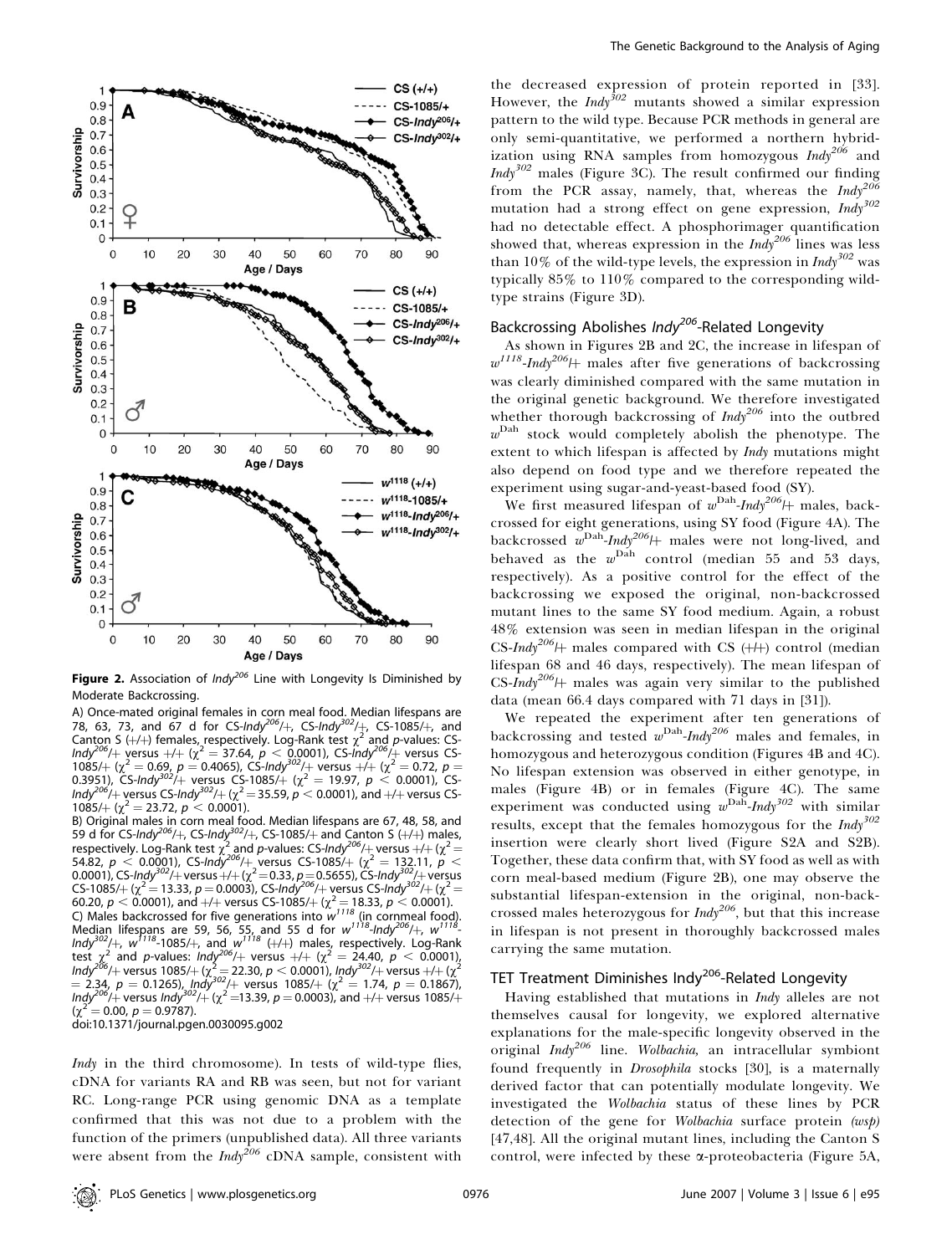

Figure 2. Association of  $Indy^{206}$  Line with Longevity Is Diminished by Moderate Backcrossing.

A) Once-mated original females in corn meal food. Median lifespans are<br>78, 63, 73, and 67 d for CS-*Indy<sup>206</sup>/*+, CS-*Indy<sup>302</sup>/*+, CS-1085/+, and Canton S (+/+) females, respectively. Log-Rank test  $\chi^2$  and p-values: CS-Indy<sup>206</sup>/+ versus +/+ ( $\chi^2$  = 37.64, p < 0.0001), CS-Indy<sup>206</sup>/+ versus CS-1085/+ ( $\chi^2$  = 0.69, p = 0.4065), CS-Indy<sup>302</sup>/+ versus +/+ ( $\chi^2$  = 0.72, p = 0.3951), CS-Indy<sup>302</sup>/+ versus CS-1085/+ ( $\chi^2 = 19.97$ ,  $p < 0.0001$ ), CS-Indy<sup>206/</sup> $+$  versus CS-Indy<sup>302</sup>/ $+$  ( $\chi^2$   $=$  35.59,  $\rho$   $<$  0.0001), and  $+$ / $+$  versus CS- $1085/+\left(\chi^2 = 23.72, p < 0.0001\right).$ 

B) Original males in corn meal food. Median lifespans are 67, 48, 58, and<br>59 d for CS-*Indy<sup>206</sup>/*+, CS-*Indy<sup>302</sup>/*+, CS-1085/+ and Canton S (+/+) males, respectively. Log-Rank test  $\chi^2$  and p-values: CS-Indy<sup>206</sup>/+ versus +/+ ( $\chi^2$  = 54.82,  $p < 0.0001$ ), CS-Indy<sup>206</sup>/+ versus CS-1085/+ ( $\chi^2 = 132.11$ ,  $p <$ 0.0001), CS-Indy<sup>302</sup>/+ versus +/+ ( $\chi^2$  = 0.33, p = 0.5655), CS-Indy<sup>302</sup>/+ versus CS-1085/+ ( $\chi^2$  = 13.33, p = 0.0003), CS-Indy<sup>206</sup>/+ versus CS-Indy<sup>302</sup>/+ ( $\chi^2$  = 60.20,  $p < 0.0001$ ), and  $+/+$  versus CS-1085/ $+$  ( $\chi^2$  = 18.33,  $p < 0.0001$ ). C) Males backcrossed for five generations into  $w^{1118}$  (in cornmeal food). Median lifespans are 59, 56, 55, and 55 d for  $w^{1118}$ -Indy<sup>206</sup>/+,  $w^{1118}$ -Indy<sup>302</sup>/+,  $w^{1118}$ -1085/+, and  $w^{1118}$  (+/+) males, respectively. Log-Rank test  $\chi^2$  and p-values:  $ln dy^{206}/+$  versus  $+/+ (\chi^2 = 24.40, p < 0.0001)$ Indy<sup>206</sup>/+ versus 1085/+ ( $\chi^2$  = 22.30, p < 0.0001), Indy<sup>302</sup>/+ versus +/+ ( $\chi^2$  $= 2.34$ ,  $p = 0.1265$ ), Indy<sup>302</sup>/+ versus 1085/+ ( $\chi^2 = 1.74$ ,  $p = 0.1867$ ), Indy<sup>206</sup>/ $+$  versus Indy<sup>302</sup>/ $+$  ( $\chi^2$  =13.39, p = 0.0003), and +/+ versus 1085/ $+$  $=$  0.00,  $p = 0.9787$ ). doi:10.1371/journal.pgen.0030095.g002

Indy in the third chromosome). In tests of wild-type flies, cDNA for variants RA and RB was seen, but not for variant RC. Long-range PCR using genomic DNA as a template confirmed that this was not due to a problem with the function of the primers (unpublished data). All three variants were absent from the  $\text{Indy}^{206}$  cDNA sample, consistent with

the decreased expression of protein reported in [33]. However, the Indy<sup>302</sup> mutants showed a similar expression pattern to the wild type. Because PCR methods in general are only semi-quantitative, we performed a northern hybridization using RNA samples from homozygous  $\text{Indy}^{206}$  and *Indy*<sup>302</sup> males (Figure 3C). The result confirmed our finding from the PCR assay, namely, that, whereas the  $Indy^{206}$ mutation had a strong effect on gene expression,  $Indy^{302}$ had no detectable effect. A phosphorimager quantification showed that, whereas expression in the  $\text{Indy}^{206}$  lines was less than 10% of the wild-type levels, the expression in  $\text{Indy}^{302}$  was typically 85% to 110% compared to the corresponding wildtype strains (Figure 3D).

# Backcrossing Abolishes Indy<sup>206</sup>-Related Longevity

As shown in Figures 2B and 2C, the increase in lifespan of  $w^{1118}$ -Indy<sup>206</sup>/ $+$  males after five generations of backcrossing was clearly diminished compared with the same mutation in the original genetic background. We therefore investigated whether thorough backcrossing of  $\text{Indy}^{206}$  into the outbred  $w<sup>Dah</sup>$  stock would completely abolish the phenotype. The extent to which lifespan is affected by *Indy* mutations might also depend on food type and we therefore repeated the experiment using sugar-and-yeast-based food (SY).

We first measured lifespan of  $w<sup>Dah</sup>$ -Indy<sup>206</sup>/ $+$  males, backcrossed for eight generations, using SY food (Figure 4A). The backcrossed  $w^{\text{Dah}}$ -Indy<sup>206</sup>/ $+$  males were not long-lived, and behaved as the  $w^{\mathrm{Dah}}$  control (median 55 and 53 days, respectively). As a positive control for the effect of the backcrossing we exposed the original, non-backcrossed mutant lines to the same SY food medium. Again, a robust 48% extension was seen in median lifespan in the original CS-Indy<sup>206</sup>/ $\downarrow$  males compared with CS ( $+\downarrow$ ) control (median lifespan 68 and 46 days, respectively). The mean lifespan of CS-Indy<sup>206</sup>/ $\#$  males was again very similar to the published data (mean 66.4 days compared with 71 days in [31]).

We repeated the experiment after ten generations of backcrossing and tested  $w<sup>Dah</sup>$ -Indy<sup>206</sup> males and females, in homozygous and heterozygous condition (Figures 4B and 4C). No lifespan extension was observed in either genotype, in males (Figure 4B) or in females (Figure 4C). The same experiment was conducted using  $w^{\text{Dah}}$ -Indy<sup>302</sup> with similar results, except that the females homozygous for the  $\text{Indy}^{302}$ insertion were clearly short lived (Figure S2A and S2B). Together, these data confirm that, with SY food as well as with corn meal-based medium (Figure 2B), one may observe the substantial lifespan-extension in the original, non-backcrossed males heterozygous for  $\text{Indy}^{206}$ , but that this increase in lifespan is not present in thoroughly backcrossed males carrying the same mutation.

# TET Treatment Diminishes Indy<sup>206</sup>-Related Longevity

Having established that mutations in Indy alleles are not themselves causal for longevity, we explored alternative explanations for the male-specific longevity observed in the original  $Indy^{206}$  line. Wolbachia, an intracellular symbiont found frequently in *Drosophila* stocks [30], is a maternally derived factor that can potentially modulate longevity. We investigated the Wolbachia status of these lines by PCR detection of the gene for Wolbachia surface protein (wsp) [47,48]. All the original mutant lines, including the Canton S control, were infected by these a-proteobacteria (Figure 5A,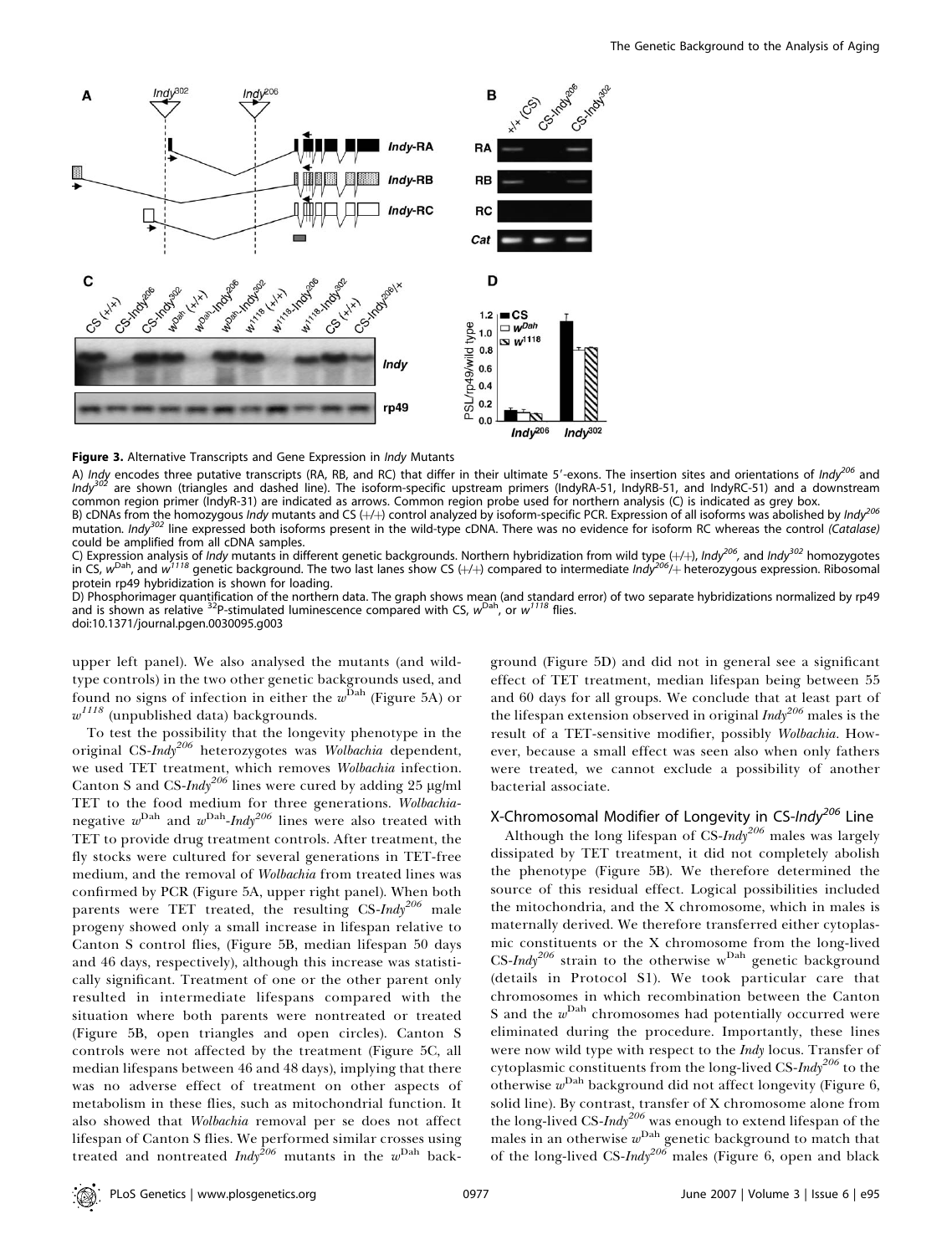

Indy<sup>206</sup> Indy<sup>302</sup>

Figure 3. Alternative Transcripts and Gene Expression in Indy Mutants

A) Indy encodes three putative transcripts (RA, RB, and RC) that differ in their ultimate 5'-exons. The insertion sites and orientations of Indy<sup>206</sup> and Indy<sup>302</sup> are shown (triangles and dashed line). The isoform-specific upstream primers (IndyRA-51, IndyRB-51, and IndyRC-51) and a downstream common region primer (IndyR-31) are indicated as arrows. Common region probe used for northern analysis (C) is indicated as grey box. B) cDNAs from the homozygous *Indy* mutants and CS  $(+/+)$  control analyzed by isoform-specific PCR. Expression of all isoforms was abolished by *Indy*<sup>206</sup> mutation. Indy<sup>302</sup> line expressed both isoforms present in the wild-type cDNA. There was no evidence for isoform RC whereas the control (Catalase) could be amplified from all cDNA samples.

C) Expression analysis of *Indy* mutants in different genetic backgrounds. Northern hybridization from wild type (+/+), Indy<sup>206</sup>, and Indy<sup>302</sup> homozygotes in CS, w<sup>Dah</sup>, and w<sup>1118</sup> genetic background. The two last lanes show CS (+/+) compared to intermediate Indy<sup>206</sup>/+ heterozygous expression. Ribosomal protein rp49 hybridization is shown for loading.

D) Phosphorimager quantification of the northern data. The graph shows mean (and standard error) of two separate hybridizations normalized by rp49<br>and is shown as relative <sup>32</sup>P-stimulated luminescence compared with CS, w<sup></sup> doi:10.1371/journal.pgen.0030095.g003

upper left panel). We also analysed the mutants (and wildtype controls) in the two other genetic backgrounds used, and found no signs of infection in either the  $w^{\mathrm{Dah}}$  (Figure 5A) or  $\boldsymbol{w}^{I I I 8}$  (unpublished data) backgrounds.

To test the possibility that the longevity phenotype in the original CS-Indy<sup>206</sup> heterozygotes was Wolbachia dependent, we used TET treatment, which removes Wolbachia infection. Canton S and CS-Indy<sup>206</sup> lines were cured by adding 25 µg/ml TET to the food medium for three generations. Wolbachianegative  $w^{\text{Dah}}$  and  $w^{\text{Dah}}$ -*Indy*<sup>206</sup> lines were also treated with TET to provide drug treatment controls. After treatment, the fly stocks were cultured for several generations in TET-free medium, and the removal of Wolbachia from treated lines was confirmed by PCR (Figure 5A, upper right panel). When both parents were TET treated, the resulting  $CS\text{-}Indy^{206}$  male progeny showed only a small increase in lifespan relative to Canton S control flies, (Figure 5B, median lifespan 50 days and 46 days, respectively), although this increase was statistically significant. Treatment of one or the other parent only resulted in intermediate lifespans compared with the situation where both parents were nontreated or treated (Figure 5B, open triangles and open circles). Canton S controls were not affected by the treatment (Figure 5C, all median lifespans between 46 and 48 days), implying that there was no adverse effect of treatment on other aspects of metabolism in these flies, such as mitochondrial function. It also showed that Wolbachia removal per se does not affect lifespan of Canton S flies. We performed similar crosses using treated and nontreated  $\text{Indy}^{\hat{2}06}$  mutants in the  $w^{\text{Dah}}$  back-

ground (Figure 5D) and did not in general see a significant effect of TET treatment, median lifespan being between 55 and 60 days for all groups. We conclude that at least part of the lifespan extension observed in original  $\text{Indy}^{206}$  males is the result of a TET-sensitive modifier, possibly Wolbachia. However, because a small effect was seen also when only fathers were treated, we cannot exclude a possibility of another bacterial associate.

# X-Chromosomal Modifier of Longevity in CS-Indy<sup>206</sup> Line

Although the long lifespan of  $CS$ -*Indy*<sup>206</sup> males was largely dissipated by TET treatment, it did not completely abolish the phenotype (Figure 5B). We therefore determined the source of this residual effect. Logical possibilities included the mitochondria, and the X chromosome, which in males is maternally derived. We therefore transferred either cytoplasmic constituents or the X chromosome from the long-lived  $\text{CS-}$ *Indy*<sup>206</sup> strain to the otherwise w<sup>Dah</sup> genetic background (details in Protocol S1). We took particular care that chromosomes in which recombination between the Canton S and the  $w<sup>Dah</sup>$  chromosomes had potentially occurred were eliminated during the procedure. Importantly, these lines were now wild type with respect to the *Indy* locus. Transfer of cytoplasmic constituents from the long-lived CS- $Indy^{206}$  to the otherwise  $w^{\mathrm{Dah}}$  background did not affect longevity (Figure 6, solid line). By contrast, transfer of X chromosome alone from the long-lived CS-Indy<sup>206</sup> was enough to extend lifespan of the males in an otherwise  $w<sup>Dah</sup>$  genetic background to match that of the long-lived CS-Indy<sup>206</sup> males (Figure 6, open and black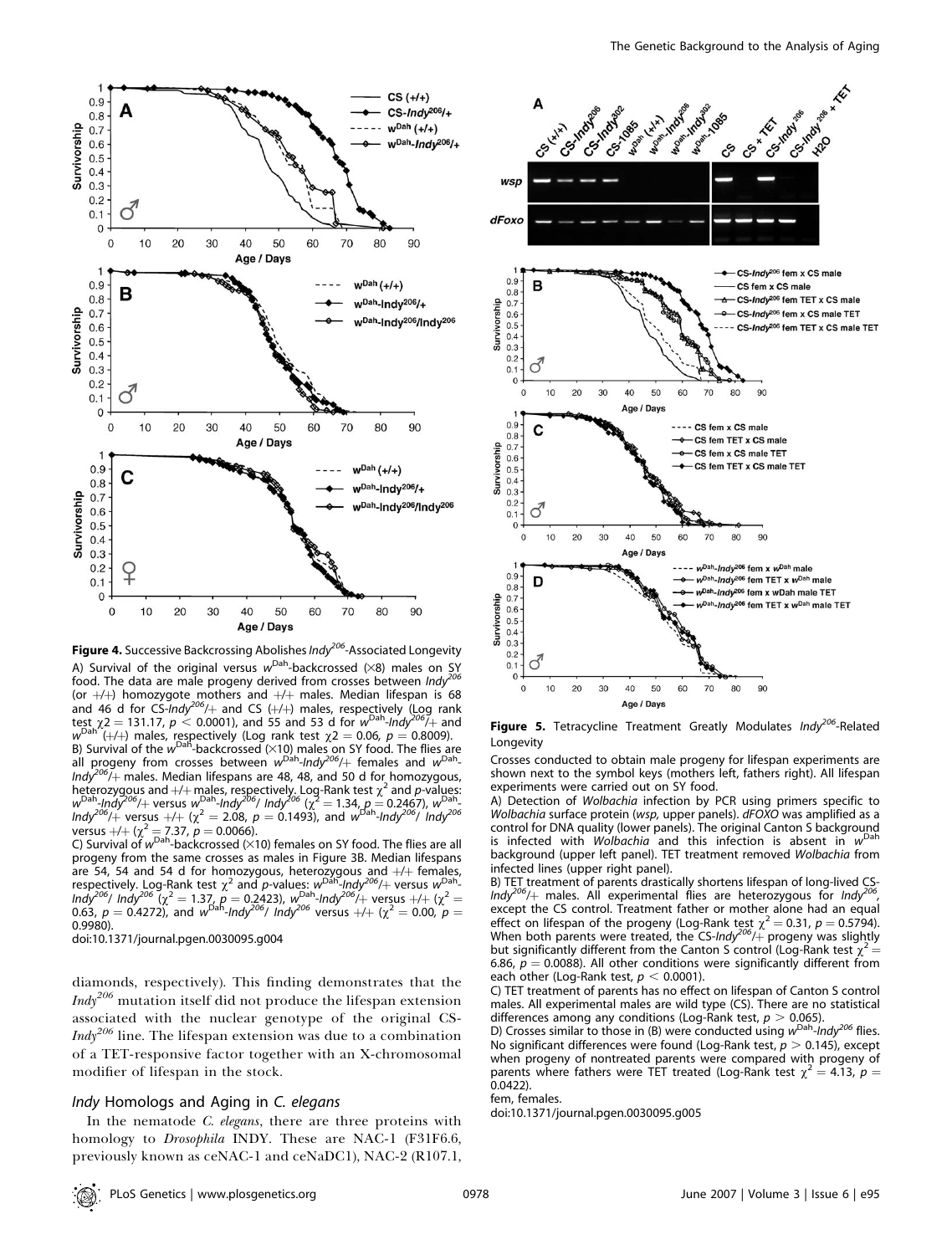

Figure 4. Successive Backcrossing Abolishes Indy<sup>206</sup>-Associated Longevity A) Survival of the original versus  $w<sup>Dah</sup>$ -backcrossed ( $\times$ 8) males on SY food. The data are male progeny derived from crosses between  $\text{Indy}^{206}$ (or +/+) homozygote mothers and +/+ males. Median lifespan is 68<br>and 46 d for CS-*Indy<sup>206</sup>/*+ and CS (+/+) males, respe<u>c</u>tively (Log rank test  $\chi$ 2 = 131.17, p < 0.0001), and 55 and 53 d for w<sup>Dah</sup>-Indy<sup>206</sup>/<sub>+</sub> and  $w^{\text{Dah}^{\prime\prime}}(+/+)$  males, respectively (Log rank test  $\chi 2 = 0.06$ ,  $p = 0.8009$ ). B) Survival of the  $w^{\text{Dah}}$ -backcrossed ( $\times$ 10) males on SY food. The flies are all progeny from crosses between w<sup>Dah</sup>-Indy<sup>206</sup>/+ females and w<sup>Dah</sup>- $\frac{1}{4}$  males. Median lifespans are 48, 48, and 50 d for homozygous, heterozygous and  $+/+$  males, respectively. Log-Rank test  $\chi^2$  and p-values:  $w^{\text{Dah}}$ -Indy<sup>206</sup>/ $+$  versus  $w^{\text{Dah}}$ -Indy<sup>206</sup>/ Indy<sup>206</sup> ( $\chi^2 = 1.34$ ,  $p = 0.2467$ ),  $w^{\text{Dah}}$ Indy<sup>206</sup>/+ versus +/+ ( $\chi^2$  = 2.08, p = 0.1493), and w<sup>Dah</sup>-Indy<sup>206</sup>/ Indy<sup>206</sup> versus  $+/+(x^2 = 7.37, p = 0.0066)$ .

C) Survival of  $w^{\text{Dah}}$ -backcrossed ( $\times$ 10) females on SY food. The flies are all progeny from the same crosses as males in Figure 3B. Median lifespans are 54, 54 and 54 d for homozygous, heterozygous and +/+ females,<br>respectively. Log-Rank test  $\chi^2$  and p-values: w<sup>Dah</sup>-Indy<sup>206</sup>/+ versus w<sup>Dah</sup>- $\frac{1}{2}$  Indy<sup>206</sup> ( $\chi^2 = 1.37$ ,  $p = 0.2423$ ),  $w^{\text{Dah}}$ -Indy<sup>206</sup>/+ versus +/+ ( $\chi^2 = 1.37$ 0.63,  $p = 0.4272$ ), and  $w^{\text{Dah}}$ -Indy<sup>206</sup>/ Indy<sup>206</sup> versus  $+/+$  ( $\chi^2 = 0.00$ ,  $p = 0.00$ 0.9980).

doi:10.1371/journal.pgen.0030095.g004

diamonds, respectively). This finding demonstrates that the  $\textit{Indy}^{206}$  mutation itself did not produce the lifespan extension associated with the nuclear genotype of the original CS- $\textit{Indy}^{206}$  line. The lifespan extension was due to a combination of a TET-responsive factor together with an X-chromosomal modifier of lifespan in the stock.

#### Indy Homologs and Aging in C. elegans

In the nematode C. elegans, there are three proteins with homology to Drosophila INDY. These are NAC-1 (F31F6.6, previously known as ceNAC-1 and ceNaDC1), NAC-2 (R107.1,



Figure 5. Tetracycline Treatment Greatly Modulates Indy<sup>206</sup>-Related **Longevity** 

Crosses conducted to obtain male progeny for lifespan experiments are shown next to the symbol keys (mothers left, fathers right). All lifespan experiments were carried out on SY food.

A) Detection of Wolbachia infection by PCR using primers specific to Wolbachia surface protein (wsp, upper panels). dFOXO was amplified as a control for DNA quality (lower panels). The original Canton S background is infected with Wolbachia and this infection is absent in  $W<sup>Dah</sup>$ background (upper left panel). TET treatment removed Wolbachia from infected lines (upper right panel).

B) TET treatment of parents drastically shortens lifespan of long-lived CS-Indy<sup>206</sup>/ $+$  males. All experimental flies are heterozygous for Indy except the CS control. Treatment father or mother alone had an equal effect on lifespan of the progeny (Log-Rank test  $\chi^2 = 0.31$ ,  $p = 0.5794$ ). When both parents were treated, the CS-Indy<sup>206</sup>/ $+$  progeny was slightly but significantly different from the Canton S control (Log-Rank test  $\chi^2$  = 6.86,  $p = 0.0088$ ). All other conditions were significantly different from each other (Log-Rank test,  $p < 0.0001$ ).

C) TET treatment of parents has no effect on lifespan of Canton S control males. All experimental males are wild type (CS). There are no statistical differences among any conditions (Log-Rank test,  $p > 0.065$ ).

D) Crosses similar to those in (B) were conducted using  $w<sup>Dah</sup>$ -Indy<sup>206</sup> flies. No significant differences were found (Log-Rank test,  $p > 0.145$ ), except when progeny of nontreated parents were compared with progeny of parents where fathers were TET treated (Log-Rank test  $\gamma^2 = 4.13$ ,  $p =$ 0.0422).

fem, females.

doi:10.1371/journal.pgen.0030095.g005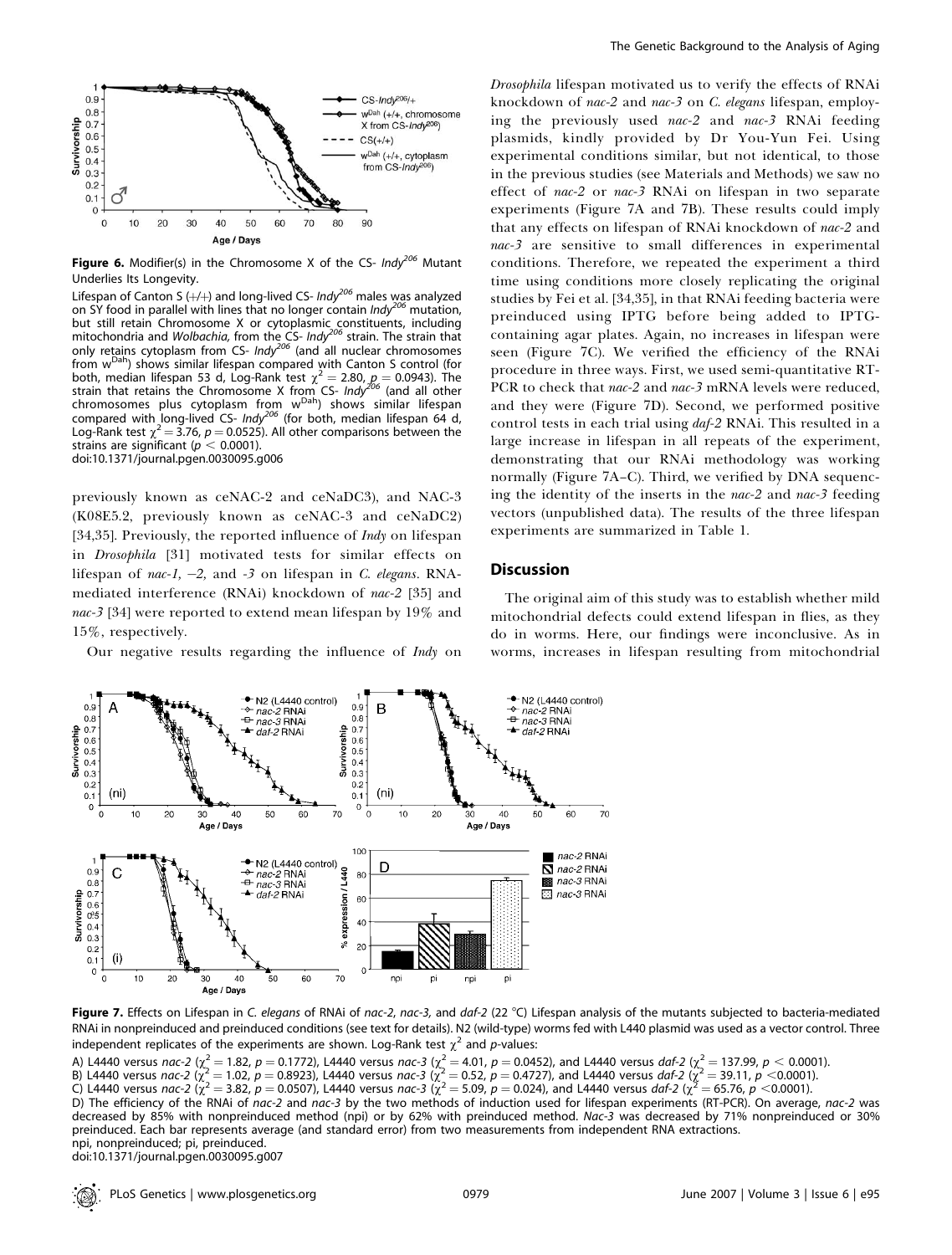

Figure 6. Modifier(s) in the Chromosome X of the CS-  $Indy^{206}$  Mutant Underlies Its Longevity.

Lifespan of Canton S (+/+) and long-lived CS- *Indy<sup>206</sup> males was analyzed* on SY food in parallel with lines that no longer contain Indy<sup>206</sup> mutation, but still retain Chromosome X or cytoplasmic constituents, including<br>mitochondria and *Wolbachia,* from the CS- Indy<sup>206</sup> strain. The strain that only retains cytoplasm from CS- Indy<sup>206</sup> (and all nuclear chromosomes from  $w<sup>Dah</sup>$ ) shows similar lifespan compared with Canton S control (for both, median lifespan 53 d, Log-Rank test  $\chi^2 = 2.80$ ,  $p = 0.0943$ ). The strain that retains the Chromosome X from CS- Indy<sup>206</sup> (and all other chromosomes plus cytoplasm from w<sup>Dah</sup>) shows similar lifespan compared with long-lived CS-  $Indy^{206}$  (for both, median lifespan 64 d, Log-Rank test  $\chi^2$  = 3.76, p = 0.0525). All other comparisons between the strains are significant ( $p < 0.0001$ ). doi:10.1371/journal.pgen.0030095.g006

previously known as ceNAC-2 and ceNaDC3), and NAC-3 (K08E5.2, previously known as ceNAC-3 and ceNaDC2) [34,35]. Previously, the reported influence of  $Indy$  on lifespan in Drosophila [31] motivated tests for similar effects on lifespan of nac-1, -2, and -3 on lifespan in C. elegans. RNAmediated interference (RNAi) knockdown of nac-2 [35] and nac-3 [34] were reported to extend mean lifespan by 19% and 15%, respectively.

Our negative results regarding the influence of Indy on

Drosophila lifespan motivated us to verify the effects of RNAi knockdown of nac-2 and nac-3 on C. elegans lifespan, employing the previously used nac-2 and nac-3 RNAi feeding plasmids, kindly provided by Dr You-Yun Fei. Using experimental conditions similar, but not identical, to those in the previous studies (see Materials and Methods) we saw no effect of nac-2 or nac-3 RNAi on lifespan in two separate experiments (Figure 7A and 7B). These results could imply that any effects on lifespan of RNAi knockdown of nac-2 and nac-3 are sensitive to small differences in experimental conditions. Therefore, we repeated the experiment a third time using conditions more closely replicating the original studies by Fei et al. [34,35], in that RNAi feeding bacteria were preinduced using IPTG before being added to IPTGcontaining agar plates. Again, no increases in lifespan were seen (Figure 7C). We verified the efficiency of the RNAi procedure in three ways. First, we used semi-quantitative RT-PCR to check that nac-2 and nac-3 mRNA levels were reduced, and they were (Figure 7D). Second, we performed positive control tests in each trial using *daf-2* RNAi. This resulted in a large increase in lifespan in all repeats of the experiment, demonstrating that our RNAi methodology was working normally (Figure 7A–C). Third, we verified by DNA sequencing the identity of the inserts in the nac-2 and nac-3 feeding vectors (unpublished data). The results of the three lifespan experiments are summarized in Table 1.

# **Discussion**

The original aim of this study was to establish whether mild mitochondrial defects could extend lifespan in flies, as they do in worms. Here, our findings were inconclusive. As in worms, increases in lifespan resulting from mitochondrial



Figure 7. Effects on Lifespan in C. elegans of RNAi of nac-2, nac-3, and daf-2 (22 °C) Lifespan analysis of the mutants subjected to bacteria-mediated RNAi in nonpreinduced and preinduced conditions (see text for details). N2 (wild-type) worms fed with L440 plasmid was used as a vector control. Three independent replicates of the experiments are shown. Log-Rank test  $\chi^2$  and p-values:

A) L4440 versus nac-2 ( $\chi^2=1.82$ ,  $p=0.1772$ ), L4440 versus nac-3 ( $\chi^2=4.01$ ,  $p=0.0452$ ), and L4440 versus daf-2 ( $\chi^2=137.99$ ,  $p< 0.0001$ ).

B) L4440 versus nac-2  $\langle \chi^2 = 1.02, p = 0.8923 \rangle$ , L4440 versus nac-3  $\langle \chi^2 = 0.52, p = 0.4727 \rangle$ , and L4440 versus daf-2  $\langle \chi^2 = 39.11, p < 0.0001 \rangle$ .

C) L4440 versus nac-2  $(\chi^2=3.82,~p=0.0507)$ , L4440 versus nac-3  $(\chi^2=5.09,~p=0.024)$ , and L4440 versus daf-2  $(\chi^2=65.76,~p<0.0001)$ .

D) The efficiency of the RNAi of nac-2 and nac-3 by the two methods of induction used for lifespan experiments (RT-PCR). On average, nac-2 was decreased by 85% with nonpreinduced method (npi) or by 62% with preinduced method. Nac-3 was decreased by 71% nonpreinduced or 30% preinduced. Each bar represents average (and standard error) from two measurements from independent RNA extractions. npi, nonpreinduced; pi, preinduced.

doi:10.1371/journal.pgen.0030095.g007

PLoS Genetics | www.plosgenetics.org | November 2007 | Volume 3 | Issue 6 | e95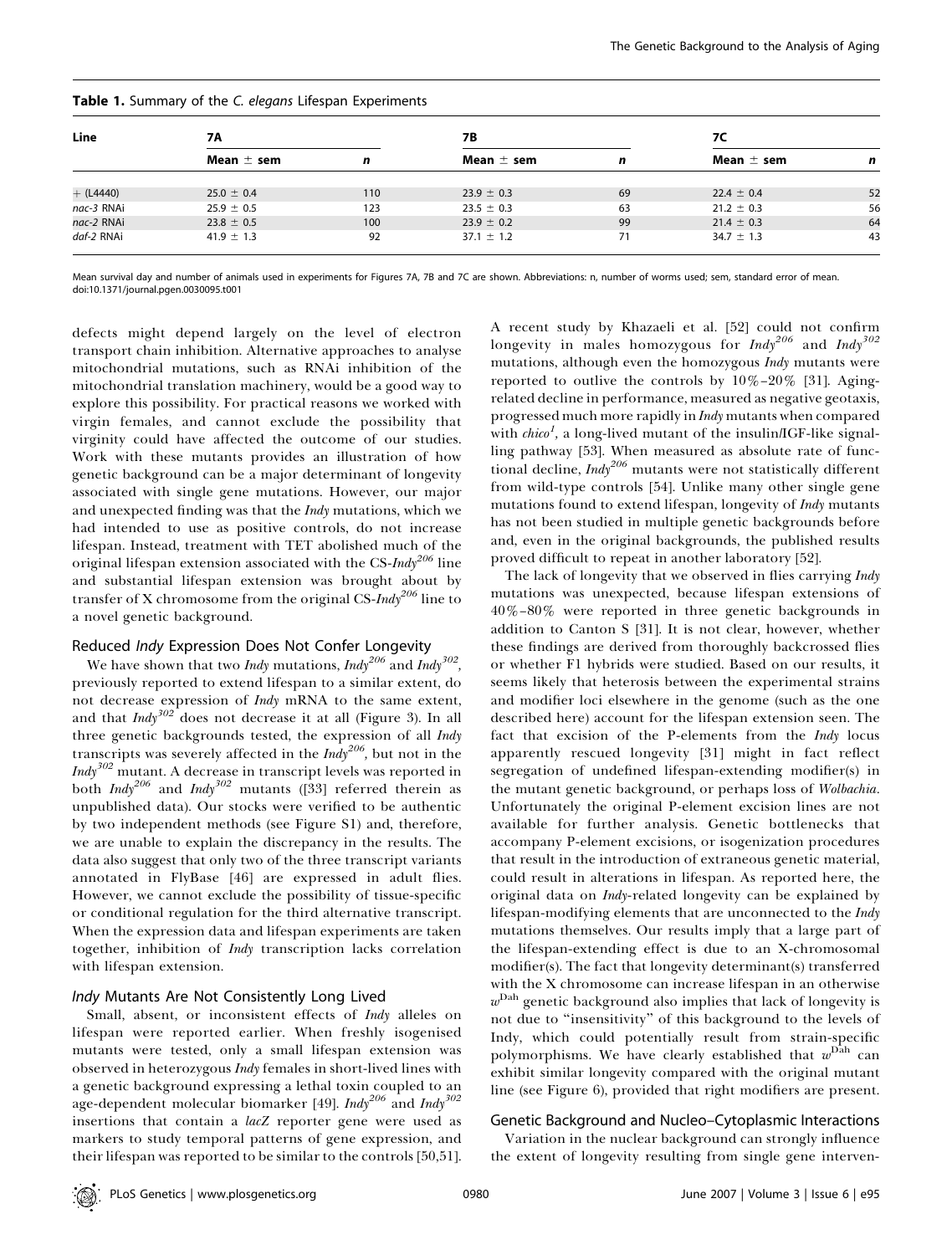| Line        | 7Α             |     | <b>7B</b>      |    | 7C             |    |
|-------------|----------------|-----|----------------|----|----------------|----|
|             | Mean $\pm$ sem | n   | Mean $\pm$ sem | n  | Mean $\pm$ sem | n  |
| $+$ (L4440) | $25.0 \pm 0.4$ | 110 | $23.9 \pm 0.3$ | 69 | $22.4 \pm 0.4$ | 52 |
|             |                |     |                |    |                |    |
| nac-3 RNAi  | $25.9 \pm 0.5$ | 123 | $23.5 \pm 0.3$ | 63 | $21.2 \pm 0.3$ | 56 |
| nac-2 RNAi  | $23.8 \pm 0.5$ | 100 | $23.9 \pm 0.2$ | 99 | $21.4 \pm 0.3$ | 64 |
| daf-2 RNAi  | $41.9 \pm 1.3$ | 92  | $37.1 \pm 1.2$ | 71 | $34.7 \pm 1.3$ | 43 |

# Table 1. Summary of the C. elegans Lifespan Experiments

Mean survival day and number of animals used in experiments for Figures 7A, 7B and 7C are shown. Abbreviations: n, number of worms used; sem, standard error of mean. doi:10.1371/journal.pgen.0030095.t001

defects might depend largely on the level of electron transport chain inhibition. Alternative approaches to analyse mitochondrial mutations, such as RNAi inhibition of the mitochondrial translation machinery, would be a good way to explore this possibility. For practical reasons we worked with virgin females, and cannot exclude the possibility that virginity could have affected the outcome of our studies. Work with these mutants provides an illustration of how genetic background can be a major determinant of longevity associated with single gene mutations. However, our major and unexpected finding was that the Indy mutations, which we had intended to use as positive controls, do not increase lifespan. Instead, treatment with TET abolished much of the original lifespan extension associated with the CS- $\textit{Indy}^{206}$  line and substantial lifespan extension was brought about by transfer of X chromosome from the original CS-Indy<sup>206</sup> line to a novel genetic background.

# Reduced Indy Expression Does Not Confer Longevity

We have shown that two *Indy* mutations,  $\text{Indy}^{206}$  and  $\text{Indy}^{302}$ , previously reported to extend lifespan to a similar extent, do not decrease expression of Indy mRNA to the same extent, and that  $\text{Indy}^{302}$  does not decrease it at all (Figure 3). In all three genetic backgrounds tested, the expression of all *Indy* transcripts was severely affected in the  $\textit{Indy}^{206}$ , but not in the  $\textit{Indy}^{302}$  mutant. A decrease in transcript levels was reported in both  $Indy^{206}$  and  $Indy^{302}$  mutants ([33] referred therein as unpublished data). Our stocks were verified to be authentic by two independent methods (see Figure S1) and, therefore, we are unable to explain the discrepancy in the results. The data also suggest that only two of the three transcript variants annotated in FlyBase [46] are expressed in adult flies. However, we cannot exclude the possibility of tissue-specific or conditional regulation for the third alternative transcript. When the expression data and lifespan experiments are taken together, inhibition of Indy transcription lacks correlation with lifespan extension.

# Indy Mutants Are Not Consistently Long Lived

Small, absent, or inconsistent effects of *Indy* alleles on lifespan were reported earlier. When freshly isogenised mutants were tested, only a small lifespan extension was observed in heterozygous Indy females in short-lived lines with a genetic background expressing a lethal toxin coupled to an age-dependent molecular biomarker [49].  $\emph{Indy}^{206}$  and  $\emph{Indy}^{302}$ insertions that contain a lacZ reporter gene were used as markers to study temporal patterns of gene expression, and their lifespan was reported to be similar to the controls [50,51].

A recent study by Khazaeli et al. [52] could not confirm longevity in males homozygous for  $Indy^{206}$  and  $Indy^{302}$ mutations, although even the homozygous Indy mutants were reported to outlive the controls by  $10\% - 20\%$  [31]. Agingrelated decline in performance, measured as negative geotaxis, progressed much more rapidly in Indy mutants when compared with  $chico<sup>I</sup>$ , a long-lived mutant of the insulin/IGF-like signalling pathway [53]. When measured as absolute rate of functional decline,  $\textit{Indy}^{206}$  mutants were not statistically different from wild-type controls [54]. Unlike many other single gene mutations found to extend lifespan, longevity of Indy mutants has not been studied in multiple genetic backgrounds before and, even in the original backgrounds, the published results proved difficult to repeat in another laboratory [52].

The lack of longevity that we observed in flies carrying *Indy* mutations was unexpected, because lifespan extensions of 40%–80% were reported in three genetic backgrounds in addition to Canton S [31]. It is not clear, however, whether these findings are derived from thoroughly backcrossed flies or whether F1 hybrids were studied. Based on our results, it seems likely that heterosis between the experimental strains and modifier loci elsewhere in the genome (such as the one described here) account for the lifespan extension seen. The fact that excision of the P-elements from the Indy locus apparently rescued longevity [31] might in fact reflect segregation of undefined lifespan-extending modifier(s) in the mutant genetic background, or perhaps loss of Wolbachia. Unfortunately the original P-element excision lines are not available for further analysis. Genetic bottlenecks that accompany P-element excisions, or isogenization procedures that result in the introduction of extraneous genetic material, could result in alterations in lifespan. As reported here, the original data on Indy-related longevity can be explained by lifespan-modifying elements that are unconnected to the Indy mutations themselves. Our results imply that a large part of the lifespan-extending effect is due to an X-chromosomal modifier(s). The fact that longevity determinant(s) transferred with the X chromosome can increase lifespan in an otherwise  $w<sup>Dah</sup>$  genetic background also implies that lack of longevity is not due to ''insensitivity'' of this background to the levels of Indy, which could potentially result from strain-specific polymorphisms. We have clearly established that  $w<sup>Dah</sup>$  can exhibit similar longevity compared with the original mutant line (see Figure 6), provided that right modifiers are present.

#### Genetic Background and Nucleo–Cytoplasmic Interactions

Variation in the nuclear background can strongly influence the extent of longevity resulting from single gene interven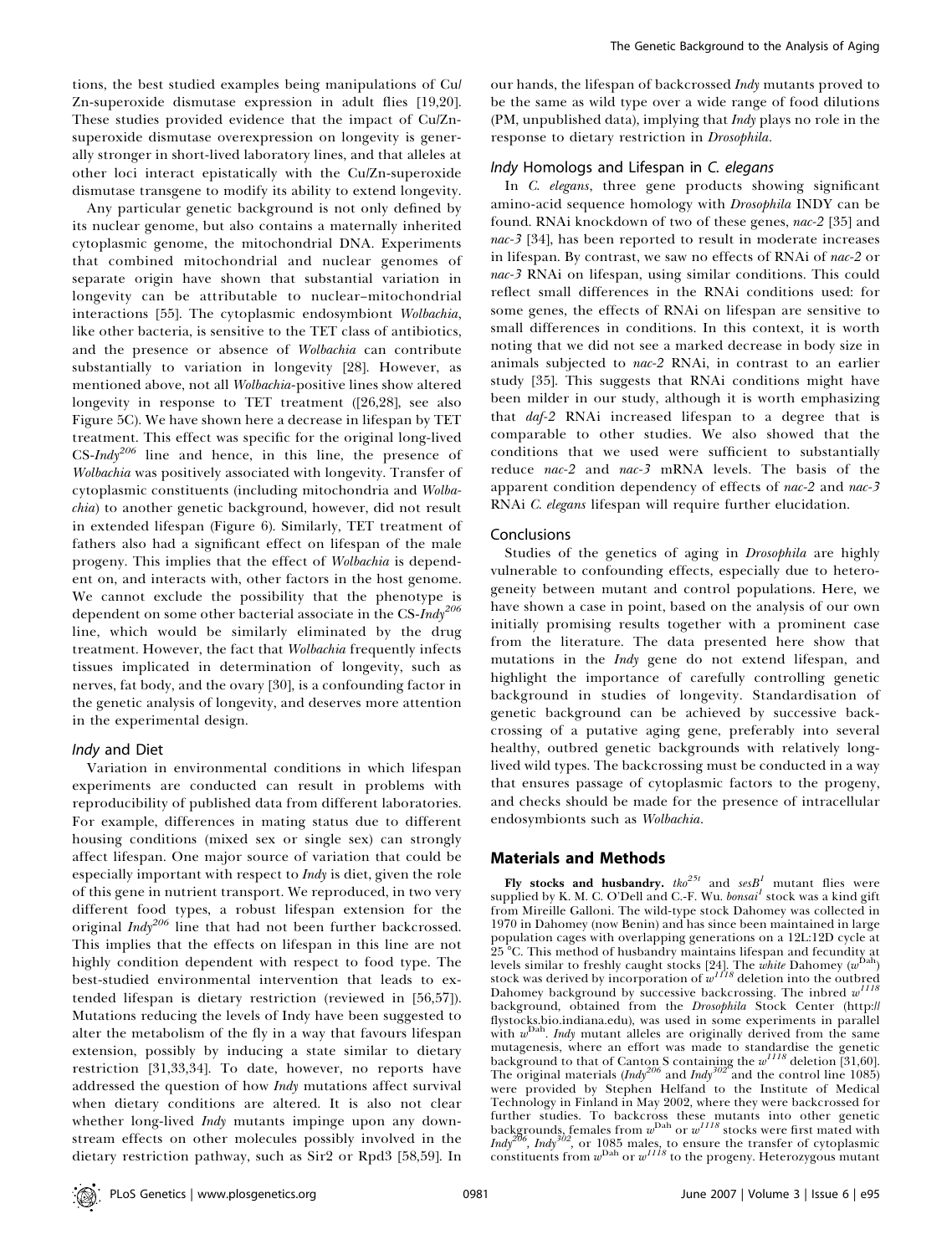tions, the best studied examples being manipulations of Cu/ Zn-superoxide dismutase expression in adult flies [19,20]. These studies provided evidence that the impact of Cu/Znsuperoxide dismutase overexpression on longevity is generally stronger in short-lived laboratory lines, and that alleles at other loci interact epistatically with the Cu/Zn-superoxide dismutase transgene to modify its ability to extend longevity.

Any particular genetic background is not only defined by its nuclear genome, but also contains a maternally inherited cytoplasmic genome, the mitochondrial DNA. Experiments that combined mitochondrial and nuclear genomes of separate origin have shown that substantial variation in longevity can be attributable to nuclear–mitochondrial interactions [55]. The cytoplasmic endosymbiont Wolbachia, like other bacteria, is sensitive to the TET class of antibiotics, and the presence or absence of Wolbachia can contribute substantially to variation in longevity [28]. However, as mentioned above, not all Wolbachia-positive lines show altered longevity in response to TET treatment ([26,28], see also Figure 5C). We have shown here a decrease in lifespan by TET treatment. This effect was specific for the original long-lived  $CS$ -Indy<sup>206</sup> line and hence, in this line, the presence of Wolbachia was positively associated with longevity. Transfer of cytoplasmic constituents (including mitochondria and Wolbachia) to another genetic background, however, did not result in extended lifespan (Figure 6). Similarly, TET treatment of fathers also had a significant effect on lifespan of the male progeny. This implies that the effect of Wolbachia is dependent on, and interacts with, other factors in the host genome. We cannot exclude the possibility that the phenotype is dependent on some other bacterial associate in the CS- $\emph{Indy}^{206}$ line, which would be similarly eliminated by the drug treatment. However, the fact that Wolbachia frequently infects tissues implicated in determination of longevity, such as nerves, fat body, and the ovary [30], is a confounding factor in the genetic analysis of longevity, and deserves more attention in the experimental design.

### Indy and Diet

Variation in environmental conditions in which lifespan experiments are conducted can result in problems with reproducibility of published data from different laboratories. For example, differences in mating status due to different housing conditions (mixed sex or single sex) can strongly affect lifespan. One major source of variation that could be especially important with respect to Indy is diet, given the role of this gene in nutrient transport. We reproduced, in two very different food types, a robust lifespan extension for the original Indy<sup>206</sup> line that had not been further backcrossed. This implies that the effects on lifespan in this line are not highly condition dependent with respect to food type. The best-studied environmental intervention that leads to extended lifespan is dietary restriction (reviewed in [56,57]). Mutations reducing the levels of Indy have been suggested to alter the metabolism of the fly in a way that favours lifespan extension, possibly by inducing a state similar to dietary restriction [31,33,34]. To date, however, no reports have addressed the question of how Indy mutations affect survival when dietary conditions are altered. It is also not clear whether long-lived Indy mutants impinge upon any downstream effects on other molecules possibly involved in the dietary restriction pathway, such as Sir2 or Rpd3 [58,59]. In

our hands, the lifespan of backcrossed Indy mutants proved to be the same as wild type over a wide range of food dilutions (PM, unpublished data), implying that Indy plays no role in the response to dietary restriction in Drosophila.

# Indy Homologs and Lifespan in C. elegans

In C. elegans, three gene products showing significant amino-acid sequence homology with Drosophila INDY can be found. RNAi knockdown of two of these genes, nac-2 [35] and nac-3 [34], has been reported to result in moderate increases in lifespan. By contrast, we saw no effects of RNAi of nac-2 or nac-3 RNAi on lifespan, using similar conditions. This could reflect small differences in the RNAi conditions used: for some genes, the effects of RNAi on lifespan are sensitive to small differences in conditions. In this context, it is worth noting that we did not see a marked decrease in body size in animals subjected to nac-2 RNAi, in contrast to an earlier study [35]. This suggests that RNAi conditions might have been milder in our study, although it is worth emphasizing that daf-2 RNAi increased lifespan to a degree that is comparable to other studies. We also showed that the conditions that we used were sufficient to substantially reduce nac-2 and nac-3 mRNA levels. The basis of the apparent condition dependency of effects of nac-2 and nac-3 RNAi C. elegans lifespan will require further elucidation.

#### Conclusions

Studies of the genetics of aging in Drosophila are highly vulnerable to confounding effects, especially due to heterogeneity between mutant and control populations. Here, we have shown a case in point, based on the analysis of our own initially promising results together with a prominent case from the literature. The data presented here show that mutations in the *Indy* gene do not extend lifespan, and highlight the importance of carefully controlling genetic background in studies of longevity. Standardisation of genetic background can be achieved by successive backcrossing of a putative aging gene, preferably into several healthy, outbred genetic backgrounds with relatively longlived wild types. The backcrossing must be conducted in a way that ensures passage of cytoplasmic factors to the progeny, and checks should be made for the presence of intracellular endosymbionts such as Wolbachia.

# Materials and Methods

Fly stocks and husbandry.  $the^{25t}$  and  $seB<sup>1</sup>$  mutant flies were supplied by K. M. C. O'Dell and C.-F. Wu.  $bonsai<sup>1</sup>$  stock was a kind gift from Mireille Galloni. The wild-type stock Dahomey was collected in 1970 in Dahomey (now Benin) and has since been maintained in large population cages with overlapping generations on a 12L:12D cycle at 25 8C. This method of husbandry maintains lifespan and fecundity at levels similar to freshly caught stocks [24]. The white Dahomey (w<sup>Dah</sup>) stock was derived by incorporation of  $w^{1118}$  deletion into the outbred Dahomey background by successive backcrossing. The inbred  $w$ <sup>1</sup> background, obtained from the Drosophila Stock Center (http:// flystocks.bio.indiana.edu), was used in some experiments in parallel with  $w<sup>Dah</sup>$ . Indy mutant alleles are originally derived from the same mutagenesis, where an effort was made to standardise the genetic<br>background to that of Canton S containing the  $w^{III8}$  deletion [31,60]. The original materials  $(Indy^{206}$  and  $Indy^{302}$  and the control line 1085) were provided by Stephen Helfand to the Institute of Medical Technology in Finland in May 2002, where they were backcrossed for further studies. To backcross these mutants into other genetic<br>backgrounds, females from  $w^{\text{Dah}}$  or  $w^{II18}$  stocks were first mated with Indy<sup>206</sup>, Indy<sup>302</sup>, or 1085 males, to ensure the transfer of cytoplasmic constituents from  $w^{\mathrm{Dah}}$  or  $w^{1118}$  to the progeny. Heterozygous mutant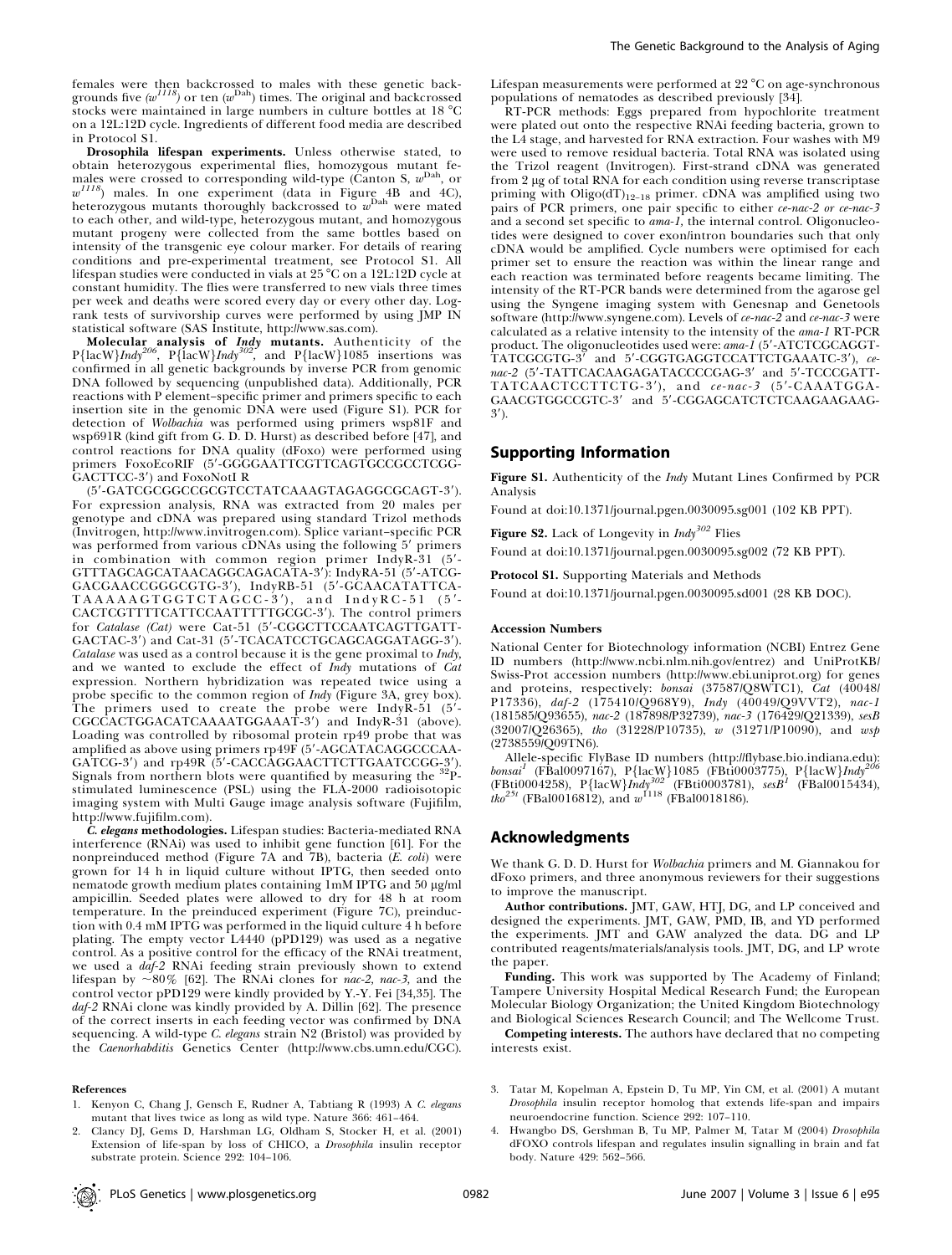females were then backcrossed to males with these genetic back-<br>grounds five  $(w^{III8})$  or ten  $(w^{\text{Dah}})$  times. The original and backcrossed stocks were maintained in large numbers in culture bottles at  $18 \degree C$ on a 12L:12D cycle. Ingredients of different food media are described in Protocol S1.

Drosophila lifespan experiments. Unless otherwise stated, to obtain heterozygous experimental flies, homozygous mutant fe-<br>males were crossed to corresponding wild-type (Canton S,  $w^{\mathrm{Dah}}$ , or  $w^{1118}$ ) males. In one experiment (data in Figure 4B and 4C), heterozygous mutants thoroughly backcrossed to  $w^{\text{Dah}}$  were mated to each other, and wild-type, heterozygous mutant, and homozygous mutant progeny were collected from the same bottles based on intensity of the transgenic eye colour marker. For details of rearing conditions and pre-experimental treatment, see Protocol S1. All lifespan studies were conducted in vials at 25 °C on a 12L:12D cycle at constant humidity. The flies were transferred to new vials three times per week and deaths were scored every day or every other day. Logrank tests of survivorship curves were performed by using JMP IN statistical software (SAS Institute, http://www.sas.com).

**Molecular analysis of Indy mutants.** Authenticity of the  $P$ {lacW}*Indy<sup>206</sup>*,  $P$ {lacW}*Indy<sup>302</sup>*, and  $P$ {lacW}*1085* insertions was confirmed in all genetic backgrounds by inverse PCR from genomic DNA followed by sequencing (unpublished data). Additionally, PCR reactions with P element–specific primer and primers specific to each insertion site in the genomic DNA were used (Figure S1). PCR for detection of Wolbachia was performed using primers wsp81F and wsp691R (kind gift from G. D. D. Hurst) as described before [47], and control reactions for DNA quality (dFoxo) were performed using primers FoxoEcoRIF (5'-GGGGAATTCGTTCAGTGCCGCCTCGG-GACTTCC-3') and FoxoNotI R

(5'-GATCGCGGCCGCGTCCTATCAAAGTAGAGGCGCAGT-3'). For expression analysis, RNA was extracted from 20 males per genotype and cDNA was prepared using standard Trizol methods (Invitrogen, http://www.invitrogen.com). Splice variant–specific PCR was performed from various cDNAs using the following 5' primers in combination with common region primer IndyR-31  $(5'-$ GTTTAGCAGCATAACAGGCAGACATA-3'): IndyRA-51 (5'-ATCG-GACGAACCGGGCGTG-3'), IndyRB-51 (5'-GCAACATATTCA- $TAAAAGTGGTCTAGCC-3'$ , and  $IndyRC-51$  (5'-CACTCGTTTTCATTCCAATTTTTGCGC-3'). The control primers for Catalase (Cat) were Cat-51 (5'-CGGCTTCCAATCAGTTGATT-GACTAC-3') and Cat-31 (5'-TCACATCCTGCAGCAGGATAGG-3'). Catalase was used as a control because it is the gene proximal to Indy, and we wanted to exclude the effect of Indy mutations of Cat expression. Northern hybridization was repeated twice using a probe specific to the common region of *Indy* (Figure 3A, grey box). The primers used to create the probe were IndyR-51 (5'-CGCCACTGGACATCAAAATGGAAAT-3') and IndyR-31 (above). Loading was controlled by ribosomal protein rp49 probe that was amplified as above using primers rp49F (5'-AGCATACAGGCCCAA-GATCG-3') and rp49R (5'-CACCAGGAACTTCTTGAATCCGG-3').<br>Signals from northern blots were quantified by measuring the <sup>32</sup>Pstimulated luminescence (PSL) using the FLA-2000 radioisotopic imaging system with Multi Gauge image analysis software (Fujifilm, http://www.fujifilm.com).

C. elegans methodologies. Lifespan studies: Bacteria-mediated RNA interference (RNAi) was used to inhibit gene function [61]. For the nonpreinduced method (Figure 7A and  $\tilde{7}B$ ), bacteria (E. coli) were grown for 14 h in liquid culture without IPTG, then seeded onto nematode growth medium plates containing 1mM IPTG and 50 µg/ml ampicillin. Seeded plates were allowed to dry for 48 h at room temperature. In the preinduced experiment (Figure 7C), preinduction with 0.4 mM IPTG was performed in the liquid culture 4 h before plating. The empty vector L4440 (pPD129) was used as a negative control. As a positive control for the efficacy of the RNAi treatment, we used a daf-2 RNAi feeding strain previously shown to extend lifespan by  $\sim 80\%$  [62]. The RNAi clones for nac-2, nac-3, and the control vector pPD129 were kindly provided by Y.-Y. Fei [34,35]. The daf-2 RNAi clone was kindly provided by A. Dillin [62]. The presence of the correct inserts in each feeding vector was confirmed by DNA sequencing. A wild-type C. elegans strain N2 (Bristol) was provided by the Caenorhabditis Genetics Center (http://www.cbs.umn.edu/CGC).

#### References

1. Kenyon C, Chang J, Gensch E, Rudner A, Tabtiang R (1993) A C. elegans

The Genetic Background to the Analysis of Aging

Lifespan measurements were performed at  $22^{\circ}$ C on age-synchronous populations of nematodes as described previously [34].

RT-PCR methods: Eggs prepared from hypochlorite treatment were plated out onto the respective RNAi feeding bacteria, grown to the L4 stage, and harvested for RNA extraction. Four washes with M9 were used to remove residual bacteria. Total RNA was isolated using the Trizol reagent (Invitrogen). First-strand cDNA was generated from 2 lg of total RNA for each condition using reverse transcriptase priming with  $Oligo(dT)<sub>12-18</sub>$  primer. cDNA was amplified using two pairs of PCR primers, one pair specific to either ce-nac-2 or ce-nac-3 and a second set specific to ama-1, the internal control. Oligonucleotides were designed to cover exon/intron boundaries such that only cDNA would be amplified. Cycle numbers were optimised for each primer set to ensure the reaction was within the linear range and each reaction was terminated before reagents became limiting. The intensity of the RT-PCR bands were determined from the agarose gel using the Syngene imaging system with Genesnap and Genetools software (http://www.syngene.com). Levels of ce-nac-2 and ce-nac-3 were calculated as a relative intensity to the intensity of the ama-1 RT-PCR product. The oligonucleotides used were:  $ama-1$  (5'-ATCTCGCAGGT-TATCGCGTG-3' and 5'-CGGTGAGGTCCATTCTGAAATC-3').  $ce$ and  $5'$ -CGGTGAGGTCCATTCTGAAATC-3'), cenac-2 (5'-TATTCACAAGAGATACCCCGAG-3' and 5'-TCCCGATT-TATCAACTCCTTCTG-3'), and  $ce-nac-3$  (5'-CAAATGGA-GAACGTGGCCGTC-3' and 5'-CGGAGCATCTCTCAAGAAGAAG- $3'$ ).

# Supporting Information

Figure S1. Authenticity of the *Indy* Mutant Lines Confirmed by PCR Analysis

Found at doi:10.1371/journal.pgen.0030095.sg001 (102 KB PPT).

Figure S2. Lack of Longevity in  $\text{Indy}^{302}$  Flies

Found at doi:10.1371/journal.pgen.0030095.sg002 (72 KB PPT).

Protocol S1. Supporting Materials and Methods

Found at doi:10.1371/journal.pgen.0030095.sd001 (28 KB DOC).

#### Accession Numbers

National Center for Biotechnology information (NCBI) Entrez Gene ID numbers (http://www.ncbi.nlm.nih.gov/entrez) and UniProtKB/ Swiss-Prot accession numbers (http://www.ebi.uniprot.org) for genes and proteins, respectively: bonsai (37587/Q8WTC1), Cat (40048/ P17336), daf-2 (175410/Q968Y9), Indy (40049/Q9VVT2), nac-1 (181585/Q93655), nac-2 (187898/P32739), nac-3 (176429/Q21339), sesB (32007/Q26365), tho (31228/P10735), w (31271/P10090), and wsp (2738559/Q09TN6).

Allele-specific FlyBase ID numbers (http://flybase.bio.indiana.edu):  $bonsai<sup>1</sup>$  (FBal0097167), P{lacW}1085 (FBti0003775), P{lacW}Indy<sup>206</sup> (FBti0004258), P{lacW}Indy<sup>302</sup> (FBti0003781), sesB<sup>1</sup> (FBal0015434),  $\hat{t}$ ko<sup>25t</sup> (FBal0016812), and  $w^{1118}$  (FBal0018186).

### Acknowledgments

We thank G. D. D. Hurst for Wolbachia primers and M. Giannakou for dFoxo primers, and three anonymous reviewers for their suggestions to improve the manuscript.

Author contributions. JMT, GAW, HTJ, DG, and LP conceived and designed the experiments. JMT, GAW, PMD, IB, and YD performed the experiments. JMT and GAW analyzed the data. DG and LP contributed reagents/materials/analysis tools. JMT, DG, and LP wrote the paper.

Funding. This work was supported by The Academy of Finland; Tampere University Hospital Medical Research Fund; the European Molecular Biology Organization; the United Kingdom Biotechnology and Biological Sciences Research Council; and The Wellcome Trust.

Competing interests. The authors have declared that no competing interests exist.

- mutant that lives twice as long as wild type. Nature 366: 461–464. 2. Clancy DJ, Gems D, Harshman LG, Oldham S, Stocker H, et al. (2001)
- Extension of life-span by loss of CHICO, a Drosophila insulin receptor substrate protein. Science 292: 104–106.
- 3. Tatar M, Kopelman A, Epstein D, Tu MP, Yin CM, et al. (2001) A mutant Drosophila insulin receptor homolog that extends life-span and impairs neuroendocrine function. Science 292: 107–110.
- 4. Hwangbo DS, Gershman B, Tu MP, Palmer M, Tatar M (2004) Drosophila dFOXO controls lifespan and regulates insulin signalling in brain and fat body. Nature 429: 562–566.